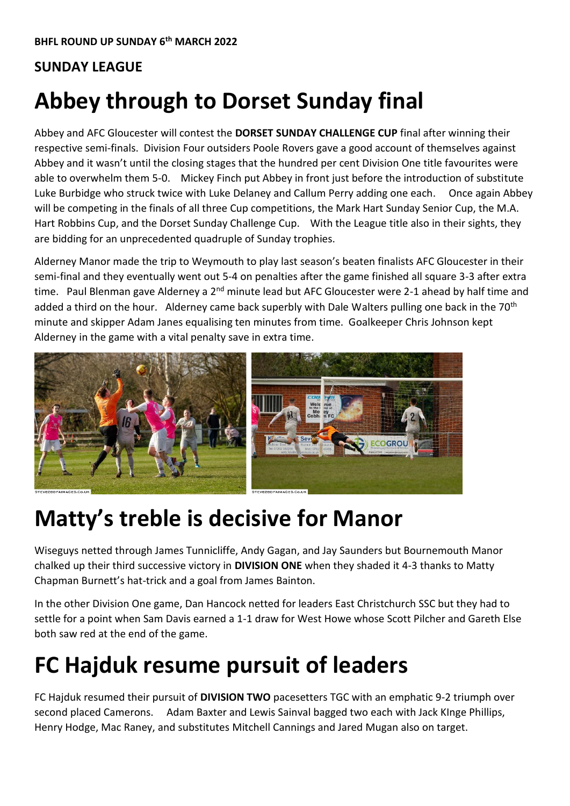#### **SUNDAY LEAGUE**

# **Abbey through to Dorset Sunday final**

Abbey and AFC Gloucester will contest the **DORSET SUNDAY CHALLENGE CUP** final after winning their respective semi-finals. Division Four outsiders Poole Rovers gave a good account of themselves against Abbey and it wasn't until the closing stages that the hundred per cent Division One title favourites were able to overwhelm them 5-0. Mickey Finch put Abbey in front just before the introduction of substitute Luke Burbidge who struck twice with Luke Delaney and Callum Perry adding one each. Once again Abbey will be competing in the finals of all three Cup competitions, the Mark Hart Sunday Senior Cup, the M.A. Hart Robbins Cup, and the Dorset Sunday Challenge Cup. With the League title also in their sights, they are bidding for an unprecedented quadruple of Sunday trophies.

Alderney Manor made the trip to Weymouth to play last season's beaten finalists AFC Gloucester in their semi-final and they eventually went out 5-4 on penalties after the game finished all square 3-3 after extra time. Paul Blenman gave Alderney a 2<sup>nd</sup> minute lead but AFC Gloucester were 2-1 ahead by half time and added a third on the hour. Alderney came back superbly with Dale Walters pulling one back in the 70<sup>th</sup> minute and skipper Adam Janes equalising ten minutes from time. Goalkeeper Chris Johnson kept Alderney in the game with a vital penalty save in extra time.



#### **Matty's treble is decisive for Manor**

Wiseguys netted through James Tunnicliffe, Andy Gagan, and Jay Saunders but Bournemouth Manor chalked up their third successive victory in **DIVISION ONE** when they shaded it 4-3 thanks to Matty Chapman Burnett's hat-trick and a goal from James Bainton.

In the other Division One game, Dan Hancock netted for leaders East Christchurch SSC but they had to settle for a point when Sam Davis earned a 1-1 draw for West Howe whose Scott Pilcher and Gareth Else both saw red at the end of the game.

### **FC Hajduk resume pursuit of leaders**

FC Hajduk resumed their pursuit of **DIVISION TWO** pacesetters TGC with an emphatic 9-2 triumph over second placed Camerons. Adam Baxter and Lewis Sainval bagged two each with Jack KInge Phillips, Henry Hodge, Mac Raney, and substitutes Mitchell Cannings and Jared Mugan also on target.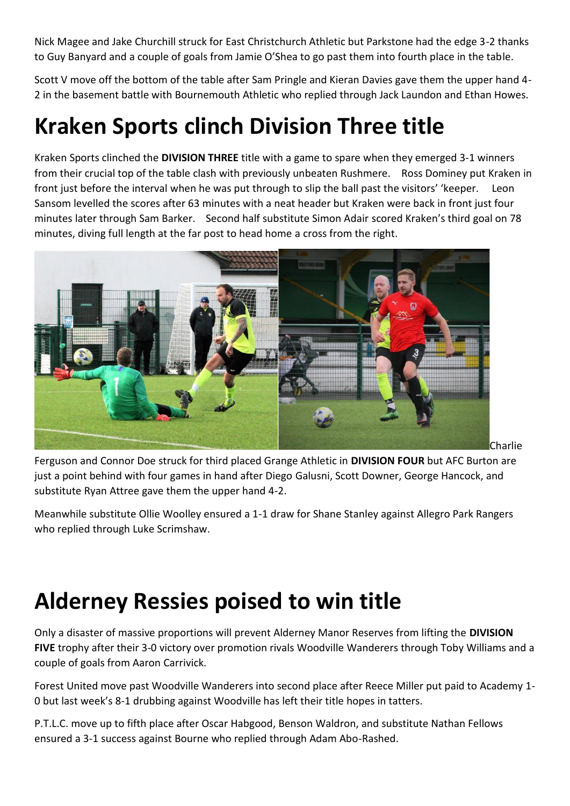Nick Magee and Jake Churchill struck for East Christchurch Athletic but Parkstone had the edge 3-2 thanks to Guy Banyard and a couple of goals from Jamie O'Shea to go past them into fourth place in the table.

Scott V move off the bottom of the table after Sam Pringle and Kieran Davies gave them the upper hand 4- 2 in the basement battle with Bournemouth Athletic who replied through Jack Laundon and Ethan Howes.

### **Kraken Sports clinch Division Three title**

Kraken Sports clinched the **DIVISION THREE** title with a game to spare when they emerged 3-1 winners from their crucial top of the table clash with previously unbeaten Rushmere. Ross Dominey put Kraken in front just before the interval when he was put through to slip the ball past the visitors' 'keeper. Leon Sansom levelled the scores after 63 minutes with a neat header but Kraken were back in front just four minutes later through Sam Barker. Second half substitute Simon Adair scored Kraken's third goal on 78 minutes, diving full length at the far post to head home a cross from the right.



Ferguson and Connor Doe struck for third placed Grange Athletic in **DIVISION FOUR** but AFC Burton are just a point behind with four games in hand after Diego Galusni, Scott Downer, George Hancock, and substitute Ryan Attree gave them the upper hand 4-2.

Meanwhile substitute Ollie Woolley ensured a 1-1 draw for Shane Stanley against Allegro Park Rangers who replied through Luke Scrimshaw.

## **Alderney Ressies poised to win title**

Only a disaster of massive proportions will prevent Alderney Manor Reserves from lifting the **DIVISION FIVE** trophy after their 3-0 victory over promotion rivals Woodville Wanderers through Toby Williams and a couple of goals from Aaron Carrivick.

Forest United move past Woodville Wanderers into second place after Reece Miller put paid to Academy 1- 0 but last week's 8-1 drubbing against Woodville has left their title hopes in tatters.

P.T.L.C. move up to fifth place after Oscar Habgood, Benson Waldron, and substitute Nathan Fellows ensured a 3-1 success against Bourne who replied through Adam Abo-Rashed.